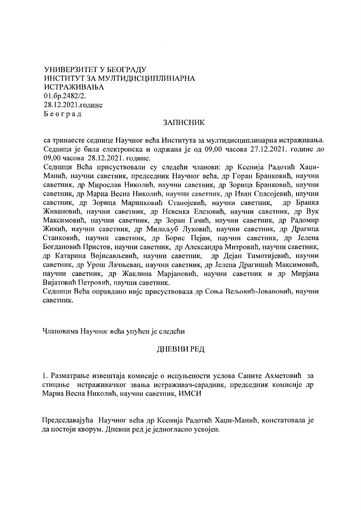# УНИВЕРЗИТЕТ У БЕОГРАДУ ИНСТИТУТ ЗА МУЛТИЛИСШИПЛИНАРНА ИСТРАЖИВАЊА 01.6p.2482/2. 28.12.2021.године Београд

### **ЗАПИСНИК**

са тринаесте седнице Научног већа Института за мултидисциплинарна истраживања. Седница је била електронска и одржана је од 09.00 часова 27.12.2021. године до 09.00 часова 28.12.2021. голине.

Седници Всћа присуствовали су следећи чланови: др Ксенија Радотић Хаџи-Манић, научни саветник, председник Научног већа, др Горан Бранковић, научни саветник, др Мирослав Николић, научни саветник, др Зорица Бранковић, научни саветник, др Мариа Весна Николић, научни саветник, др Иван Спасојевић, научни савстник, др Зорица Маринковић Станојевић, научни саветник, др Бранка Живановић, научни саветник, др Невенка Елезовић, научни саветник, др Вук Максимовић, научни саветник, др Зоран Гачић, научни саветник, др Радомир Жикић, научни саветник, др Милољуб Луковић, научни саветник, др Драгица Станковић, научни саветник, др Борис Пејин, научни саветник, др Јелена Богдановић Пристов, научни саветник, др Александра Митровић, научни саветник, др Катарина Војисављевић, научни саветник, др Дејан Тимотијевић, научни саветник, др Урош Лачњевац, научни саветник, др Јелена Драгишић Максимовић, научни саветник, др Жаклина Марјановић, научни саветник и др Мирјана Вијатовић Петровић, научни саветник.

Седници Већа оправдано није присуствовала др Соња Вељовић-Јовановић, научни саветник.

Члановима Научног већа упућен је следећи

### ДНЕВНИ РЕД

1. Разматрање извештаја комисије о испуњености услова Саните Ахметовић за стицање истраживачког звања истраживач-сарадник, председник комисије др Мариа Весна Николић, научни саветник, ИМСИ

Председавајућа Научног већа др Ксенија Радотић Хаџи-Манић, констатовала је да постоји кворум. Дневни ред је једногласно усвојен.